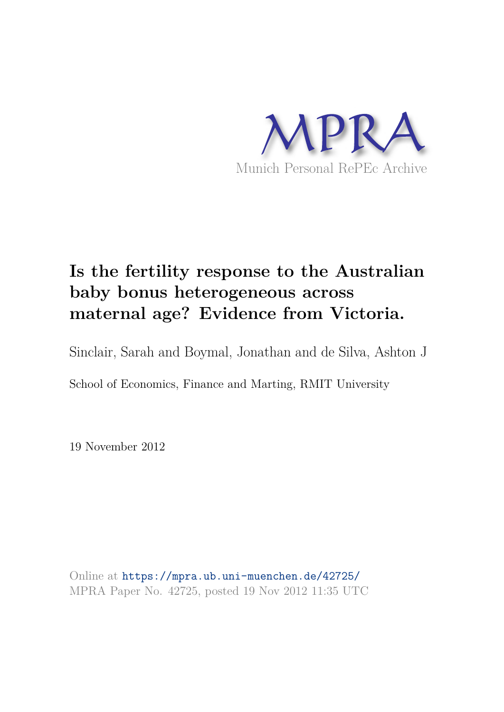

# **Is the fertility response to the Australian baby bonus heterogeneous across maternal age? Evidence from Victoria.**

Sinclair, Sarah and Boymal, Jonathan and de Silva, Ashton J

School of Economics, Finance and Marting, RMIT University

19 November 2012

Online at https://mpra.ub.uni-muenchen.de/42725/ MPRA Paper No. 42725, posted 19 Nov 2012 11:35 UTC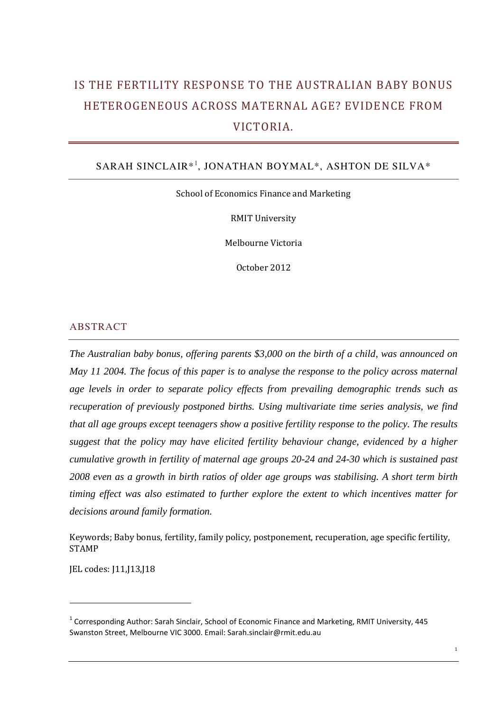## IS THE FERTILITY RESPONSE TO THE AUSTRALIAN BABY BONUS HETEROGENEOUS ACROSS MATERNAL AGE? EVIDENCE FROM VICTORIA.

## SARAH SINCLAIR\*<sup>1</sup> , JONATHAN BOYMAL\*, ASHTON DE SILVA\*

School of Economics Finance and Marketing

RMIT University

Melbourne Victoria

October 2012

#### ABSTRACT

*The Australian baby bonus, offering parents \$3,000 on the birth of a child, was announced on May 11 2004. The focus of this paper is to analyse the response to the policy across maternal age levels in order to separate policy effects from prevailing demographic trends such as recuperation of previously postponed births. Using multivariate time series analysis, we find that all age groups except teenagers show a positive fertility response to the policy. The results suggest that the policy may have elicited fertility behaviour change, evidenced by a higher cumulative growth in fertility of maternal age groups 20-24 and 24-30 which is sustained past 2008 even as a growth in birth ratios of older age groups was stabilising. A short term birth timing effect was also estimated to further explore the extent to which incentives matter for decisions around family formation.* 

Keywords; Baby bonus, fertility, family policy, postponement, recuperation, age specific fertility, STAMP

JEL codes: J11,J13,J18

<sup>&</sup>lt;sup>1</sup> Corresponding Author: Sarah Sinclair, School of Economic Finance and Marketing, RMIT University, 445 Swanston Street, Melbourne VIC 3000. Email: Sarah.sinclair@rmit.edu.au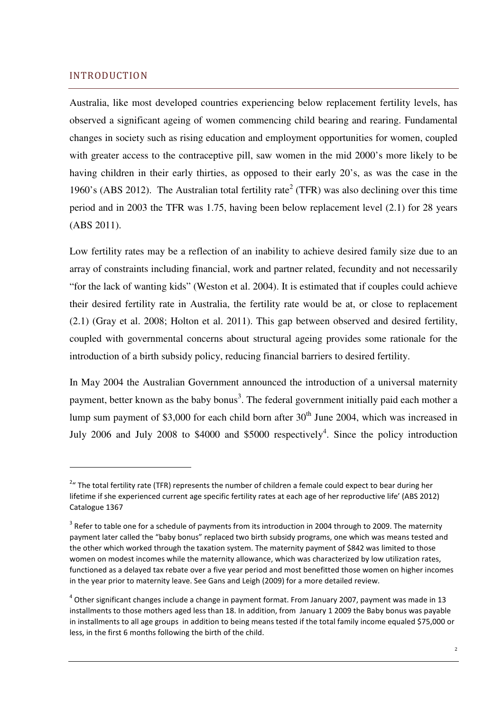## INTRODUCTION

 $\overline{a}$ 

Australia, like most developed countries experiencing below replacement fertility levels, has observed a significant ageing of women commencing child bearing and rearing. Fundamental changes in society such as rising education and employment opportunities for women, coupled with greater access to the contraceptive pill, saw women in the mid 2000's more likely to be having children in their early thirties, as opposed to their early 20's, as was the case in the 1960's (ABS 2012). The Australian total fertility rate<sup>2</sup> (TFR) was also declining over this time period and in 2003 the TFR was 1.75, having been below replacement level (2.1) for 28 years (ABS 2011).

Low fertility rates may be a reflection of an inability to achieve desired family size due to an array of constraints including financial, work and partner related, fecundity and not necessarily "for the lack of wanting kids" (Weston et al. 2004). It is estimated that if couples could achieve their desired fertility rate in Australia, the fertility rate would be at, or close to replacement (2.1) (Gray et al. 2008; Holton et al. 2011). This gap between observed and desired fertility, coupled with governmental concerns about structural ageing provides some rationale for the introduction of a birth subsidy policy, reducing financial barriers to desired fertility.

In May 2004 the Australian Government announced the introduction of a universal maternity payment, better known as the baby bonus<sup>3</sup>. The federal government initially paid each mother a lump sum payment of \$3,000 for each child born after  $30<sup>th</sup>$  June 2004, which was increased in July 2006 and July 2008 to \$4000 and \$5000 respectively<sup>4</sup>. Since the policy introduction

 $2u$  The total fertility rate (TFR) represents the number of children a female could expect to bear during her lifetime if she experienced current age specific fertility rates at each age of her reproductive life' (ABS 2012) Catalogue 1367

 $3$  Refer to table one for a schedule of payments from its introduction in 2004 through to 2009. The maternity payment later called the "baby bonus" replaced two birth subsidy programs, one which was means tested and the other which worked through the taxation system. The maternity payment of \$842 was limited to those women on modest incomes while the maternity allowance, which was characterized by low utilization rates, functioned as a delayed tax rebate over a five year period and most benefitted those women on higher incomes in the year prior to maternity leave. See Gans and Leigh (2009) for a more detailed review.

 $^4$  Other significant changes include a change in payment format. From January 2007, payment was made in 13 installments to those mothers aged less than 18. In addition, from January 1 2009 the Baby bonus was payable in installments to all age groups in addition to being means tested if the total family income equaled \$75,000 or less, in the first 6 months following the birth of the child.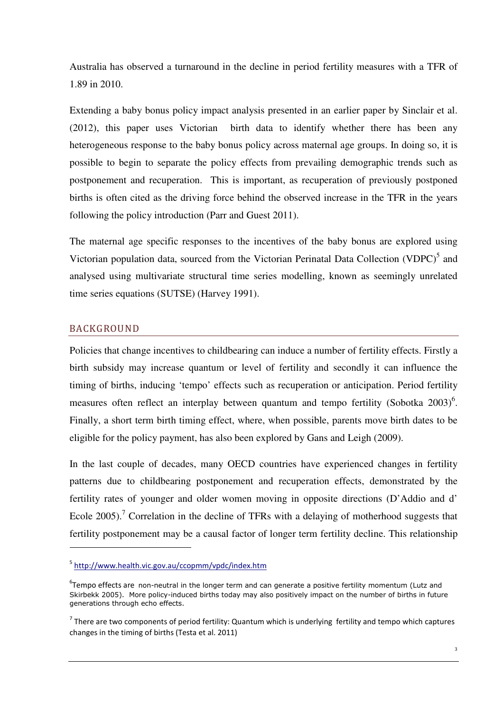Australia has observed a turnaround in the decline in period fertility measures with a TFR of 1.89 in 2010.

Extending a baby bonus policy impact analysis presented in an earlier paper by Sinclair et al. (2012), this paper uses Victorian birth data to identify whether there has been any heterogeneous response to the baby bonus policy across maternal age groups. In doing so, it is possible to begin to separate the policy effects from prevailing demographic trends such as postponement and recuperation. This is important, as recuperation of previously postponed births is often cited as the driving force behind the observed increase in the TFR in the years following the policy introduction (Parr and Guest 2011).

The maternal age specific responses to the incentives of the baby bonus are explored using Victorian population data, sourced from the Victorian Perinatal Data Collection (VDPC)<sup>5</sup> and analysed using multivariate structural time series modelling, known as seemingly unrelated time series equations (SUTSE) (Harvey 1991).

#### BACKGROUND

 $\overline{a}$ 

Policies that change incentives to childbearing can induce a number of fertility effects. Firstly a birth subsidy may increase quantum or level of fertility and secondly it can influence the timing of births, inducing 'tempo' effects such as recuperation or anticipation. Period fertility measures often reflect an interplay between quantum and tempo fertility (Sobotka  $2003$ )<sup>6</sup>. Finally, a short term birth timing effect, where, when possible, parents move birth dates to be eligible for the policy payment, has also been explored by Gans and Leigh (2009).

In the last couple of decades, many OECD countries have experienced changes in fertility patterns due to childbearing postponement and recuperation effects, demonstrated by the fertility rates of younger and older women moving in opposite directions (D'Addio and d' Ecole 2005).<sup>7</sup> Correlation in the decline of TFRs with a delaying of motherhood suggests that fertility postponement may be a causal factor of longer term fertility decline. This relationship

<sup>&</sup>lt;sup>5</sup> http://www.health.vic.gov.au/ccopmm/vpdc/index.htm

<sup>&</sup>lt;sup>6</sup>Tempo effects are non-neutral in the longer term and can generate a positive fertility momentum (Lutz and Skirbekk 2005). More policy-induced births today may also positively impact on the number of births in future generations through echo effects.

<sup>&</sup>lt;sup>7</sup> There are two components of period fertility: Quantum which is underlying fertility and tempo which captures changes in the timing of births (Testa et al. 2011)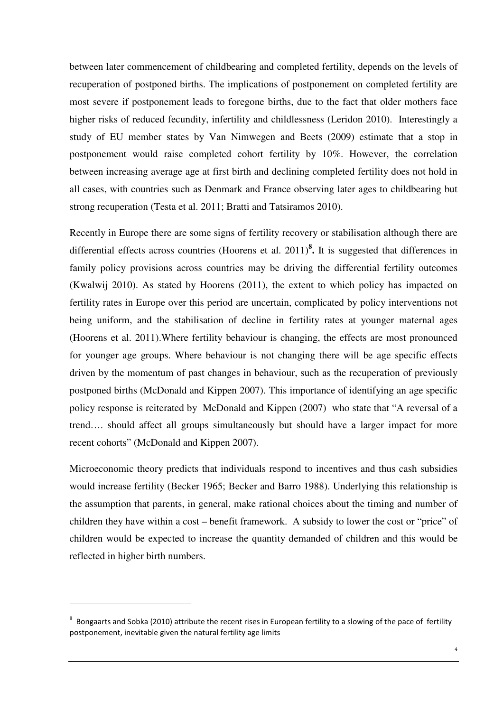between later commencement of childbearing and completed fertility, depends on the levels of recuperation of postponed births. The implications of postponement on completed fertility are most severe if postponement leads to foregone births, due to the fact that older mothers face higher risks of reduced fecundity, infertility and childlessness (Leridon 2010). Interestingly a study of EU member states by Van Nimwegen and Beets (2009) estimate that a stop in postponement would raise completed cohort fertility by 10%. However, the correlation between increasing average age at first birth and declining completed fertility does not hold in all cases, with countries such as Denmark and France observing later ages to childbearing but strong recuperation (Testa et al. 2011; Bratti and Tatsiramos 2010).

Recently in Europe there are some signs of fertility recovery or stabilisation although there are differential effects across countries (Hoorens et al. 2011)**<sup>8</sup> .** It is suggested that differences in family policy provisions across countries may be driving the differential fertility outcomes (Kwalwij 2010). As stated by Hoorens (2011), the extent to which policy has impacted on fertility rates in Europe over this period are uncertain, complicated by policy interventions not being uniform, and the stabilisation of decline in fertility rates at younger maternal ages (Hoorens et al. 2011).Where fertility behaviour is changing, the effects are most pronounced for younger age groups. Where behaviour is not changing there will be age specific effects driven by the momentum of past changes in behaviour, such as the recuperation of previously postponed births (McDonald and Kippen 2007). This importance of identifying an age specific policy response is reiterated by McDonald and Kippen (2007) who state that "A reversal of a trend…. should affect all groups simultaneously but should have a larger impact for more recent cohorts" (McDonald and Kippen 2007).

Microeconomic theory predicts that individuals respond to incentives and thus cash subsidies would increase fertility (Becker 1965; Becker and Barro 1988). Underlying this relationship is the assumption that parents, in general, make rational choices about the timing and number of children they have within a cost – benefit framework. A subsidy to lower the cost or "price" of children would be expected to increase the quantity demanded of children and this would be reflected in higher birth numbers.

 $8$  Bongaarts and Sobka (2010) attribute the recent rises in European fertility to a slowing of the pace of fertility postponement, inevitable given the natural fertility age limits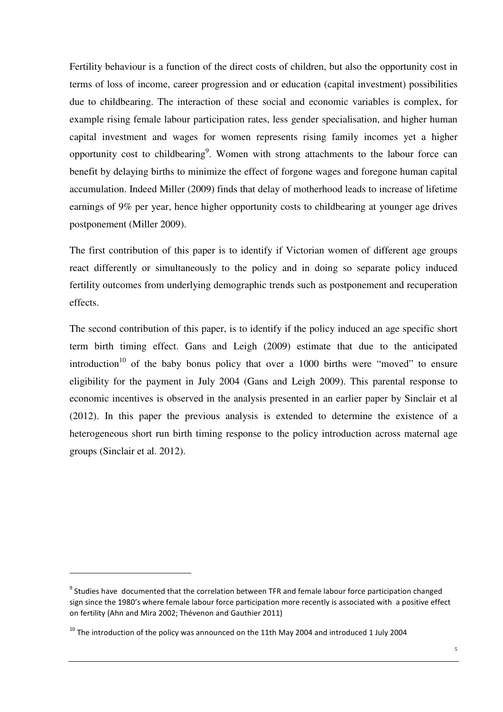Fertility behaviour is a function of the direct costs of children, but also the opportunity cost in terms of loss of income, career progression and or education (capital investment) possibilities due to childbearing. The interaction of these social and economic variables is complex, for example rising female labour participation rates, less gender specialisation, and higher human capital investment and wages for women represents rising family incomes yet a higher opportunity cost to childbearing<sup>9</sup>. Women with strong attachments to the labour force can benefit by delaying births to minimize the effect of forgone wages and foregone human capital accumulation. Indeed Miller (2009) finds that delay of motherhood leads to increase of lifetime earnings of 9% per year, hence higher opportunity costs to childbearing at younger age drives postponement (Miller 2009).

The first contribution of this paper is to identify if Victorian women of different age groups react differently or simultaneously to the policy and in doing so separate policy induced fertility outcomes from underlying demographic trends such as postponement and recuperation effects.

The second contribution of this paper, is to identify if the policy induced an age specific short term birth timing effect. Gans and Leigh (2009) estimate that due to the anticipated introduction<sup>10</sup> of the baby bonus policy that over a 1000 births were "moved" to ensure eligibility for the payment in July 2004 (Gans and Leigh 2009). This parental response to economic incentives is observed in the analysis presented in an earlier paper by Sinclair et al (2012). In this paper the previous analysis is extended to determine the existence of a heterogeneous short run birth timing response to the policy introduction across maternal age groups (Sinclair et al. 2012).

<sup>&</sup>lt;sup>9</sup> Studies have documented that the correlation between TFR and female labour force participation changed sign since the 1980's where female labour force participation more recently is associated with a positive effect on fertility (Ahn and Mira 2002; Thévenon and Gauthier 2011)

 $10$  The introduction of the policy was announced on the 11th May 2004 and introduced 1 July 2004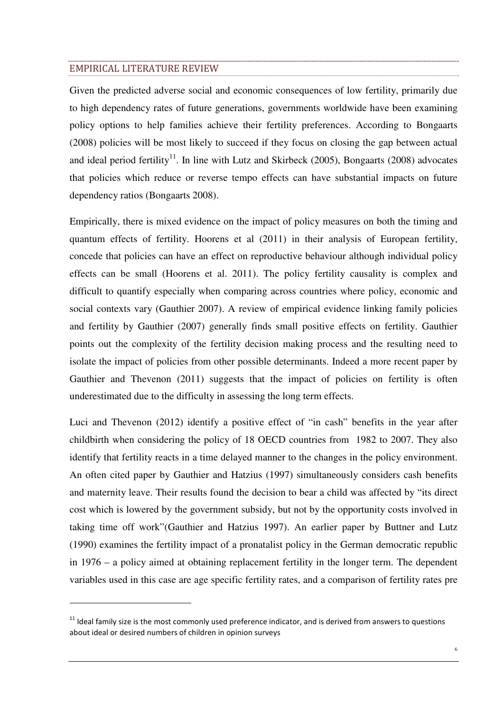#### EMPIRICAL LITERATURE REVIEW

 $\overline{a}$ 

Given the predicted adverse social and economic consequences of low fertility, primarily due to high dependency rates of future generations, governments worldwide have been examining policy options to help families achieve their fertility preferences. According to Bongaarts (2008) policies will be most likely to succeed if they focus on closing the gap between actual and ideal period fertility<sup>11</sup>. In line with Lutz and Skirbeck (2005), Bongaarts (2008) advocates that policies which reduce or reverse tempo effects can have substantial impacts on future dependency ratios (Bongaarts 2008).

Empirically, there is mixed evidence on the impact of policy measures on both the timing and quantum effects of fertility. Hoorens et al (2011) in their analysis of European fertility, concede that policies can have an effect on reproductive behaviour although individual policy effects can be small (Hoorens et al. 2011). The policy fertility causality is complex and difficult to quantify especially when comparing across countries where policy, economic and social contexts vary (Gauthier 2007). A review of empirical evidence linking family policies and fertility by Gauthier (2007) generally finds small positive effects on fertility. Gauthier points out the complexity of the fertility decision making process and the resulting need to isolate the impact of policies from other possible determinants. Indeed a more recent paper by Gauthier and Thevenon (2011) suggests that the impact of policies on fertility is often underestimated due to the difficulty in assessing the long term effects.

Luci and Thevenon (2012) identify a positive effect of "in cash" benefits in the year after childbirth when considering the policy of 18 OECD countries from 1982 to 2007. They also identify that fertility reacts in a time delayed manner to the changes in the policy environment. An often cited paper by Gauthier and Hatzius (1997) simultaneously considers cash benefits and maternity leave. Their results found the decision to bear a child was affected by "its direct cost which is lowered by the government subsidy, but not by the opportunity costs involved in taking time off work"(Gauthier and Hatzius 1997). An earlier paper by Buttner and Lutz (1990) examines the fertility impact of a pronatalist policy in the German democratic republic in 1976 – a policy aimed at obtaining replacement fertility in the longer term. The dependent variables used in this case are age specific fertility rates, and a comparison of fertility rates pre

<sup>&</sup>lt;sup>11</sup> Ideal family size is the most commonly used preference indicator, and is derived from answers to questions about ideal or desired numbers of children in opinion surveys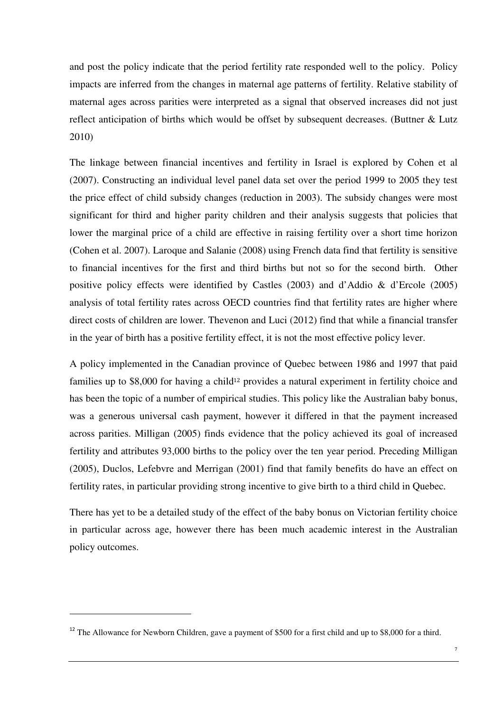and post the policy indicate that the period fertility rate responded well to the policy. Policy impacts are inferred from the changes in maternal age patterns of fertility. Relative stability of maternal ages across parities were interpreted as a signal that observed increases did not just reflect anticipation of births which would be offset by subsequent decreases. (Buttner & Lutz 2010)

The linkage between financial incentives and fertility in Israel is explored by Cohen et al (2007). Constructing an individual level panel data set over the period 1999 to 2005 they test the price effect of child subsidy changes (reduction in 2003). The subsidy changes were most significant for third and higher parity children and their analysis suggests that policies that lower the marginal price of a child are effective in raising fertility over a short time horizon (Cohen et al. 2007). Laroque and Salanie (2008) using French data find that fertility is sensitive to financial incentives for the first and third births but not so for the second birth. Other positive policy effects were identified by Castles (2003) and d'Addio & d'Ercole (2005) analysis of total fertility rates across OECD countries find that fertility rates are higher where direct costs of children are lower. Thevenon and Luci (2012) find that while a financial transfer in the year of birth has a positive fertility effect, it is not the most effective policy lever.

A policy implemented in the Canadian province of Quebec between 1986 and 1997 that paid families up to \$8,000 for having a child<sup>12</sup> provides a natural experiment in fertility choice and has been the topic of a number of empirical studies. This policy like the Australian baby bonus, was a generous universal cash payment, however it differed in that the payment increased across parities. Milligan (2005) finds evidence that the policy achieved its goal of increased fertility and attributes 93,000 births to the policy over the ten year period. Preceding Milligan (2005), Duclos, Lefebvre and Merrigan (2001) find that family benefits do have an effect on fertility rates, in particular providing strong incentive to give birth to a third child in Quebec*.* 

There has yet to be a detailed study of the effect of the baby bonus on Victorian fertility choice in particular across age, however there has been much academic interest in the Australian policy outcomes.

<sup>&</sup>lt;sup>12</sup> The Allowance for Newborn Children, gave a payment of \$500 for a first child and up to \$8,000 for a third.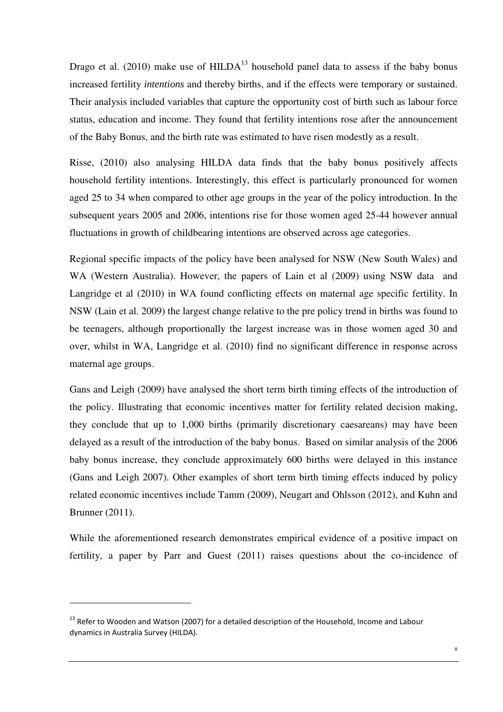Drago et al. (2010) make use of  $HILDA<sup>13</sup>$  household panel data to assess if the baby bonus increased fertility *intentions* and thereby births, and if the effects were temporary or sustained. Their analysis included variables that capture the opportunity cost of birth such as labour force status, education and income. They found that fertility intentions rose after the announcement of the Baby Bonus, and the birth rate was estimated to have risen modestly as a result.

Risse, (2010) also analysing HILDA data finds that the baby bonus positively affects household fertility intentions. Interestingly, this effect is particularly pronounced for women aged 25 to 34 when compared to other age groups in the year of the policy introduction. In the subsequent years 2005 and 2006, intentions rise for those women aged 25-44 however annual fluctuations in growth of childbearing intentions are observed across age categories.

Regional specific impacts of the policy have been analysed for NSW (New South Wales) and WA (Western Australia). However, the papers of Lain et al (2009) using NSW data and Langridge et al (2010) in WA found conflicting effects on maternal age specific fertility. In NSW (Lain et al. 2009) the largest change relative to the pre policy trend in births was found to be teenagers, although proportionally the largest increase was in those women aged 30 and over, whilst in WA, Langridge et al. (2010) find no significant difference in response across maternal age groups.

Gans and Leigh (2009) have analysed the short term birth timing effects of the introduction of the policy. Illustrating that economic incentives matter for fertility related decision making, they conclude that up to 1,000 births (primarily discretionary caesareans) may have been delayed as a result of the introduction of the baby bonus. Based on similar analysis of the 2006 baby bonus increase, they conclude approximately 600 births were delayed in this instance (Gans and Leigh 2007). Other examples of short term birth timing effects induced by policy related economic incentives include Tamm (2009), Neugart and Ohlsson (2012), and Kuhn and Brunner (2011).

While the aforementioned research demonstrates empirical evidence of a positive impact on fertility, a paper by Parr and Guest (2011) raises questions about the co-incidence of

<sup>&</sup>lt;sup>13</sup> Refer to Wooden and Watson (2007) for a detailed description of the Household, Income and Labour dynamics in Australia Survey (HILDA).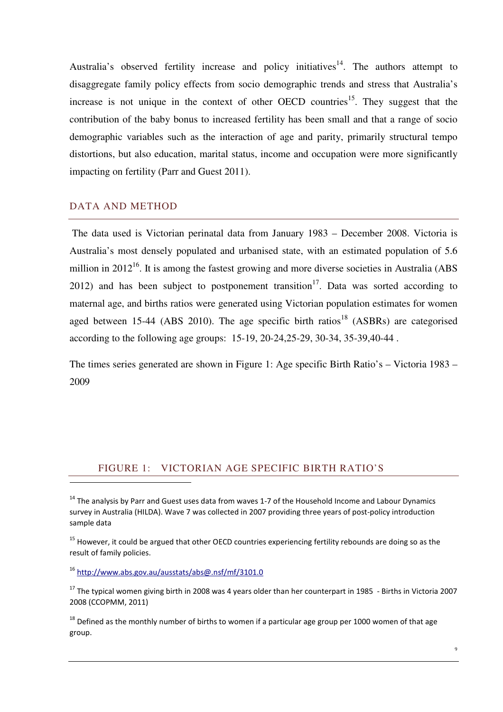Australia's observed fertility increase and policy initiatives<sup>14</sup>. The authors attempt to disaggregate family policy effects from socio demographic trends and stress that Australia's increase is not unique in the context of other OECD countries<sup>15</sup>. They suggest that the contribution of the baby bonus to increased fertility has been small and that a range of socio demographic variables such as the interaction of age and parity, primarily structural tempo distortions, but also education, marital status, income and occupation were more significantly impacting on fertility (Parr and Guest 2011).

### DATA AND METHOD

 $\overline{a}$ 

 The data used is Victorian perinatal data from January 1983 – December 2008. Victoria is Australia's most densely populated and urbanised state, with an estimated population of 5.6 million in  $2012^{16}$ . It is among the fastest growing and more diverse societies in Australia (ABS 2012) and has been subject to postponement transition<sup>17</sup>. Data was sorted according to maternal age, and births ratios were generated using Victorian population estimates for women aged between 15-44 (ABS 2010). The age specific birth ratios<sup>18</sup> (ASBRs) are categorised according to the following age groups: 15-19, 20-24,25-29, 30-34, 35-39,40-44 .

The times series generated are shown in Figure 1: Age specific Birth Ratio's – Victoria 1983 – 2009

## FIGURE 1: VICTORIAN AGE SPECIFIC BIRTH RATIO'S

<sup>15</sup> However, it could be argued that other OECD countries experiencing fertility rebounds are doing so as the result of family policies.

<sup>16</sup> http://www.abs.gov.au/ausstats/abs@.nsf/mf/3101.0

 $14$  The analysis by Parr and Guest uses data from waves 1-7 of the Household Income and Labour Dynamics survey in Australia (HILDA). Wave 7 was collected in 2007 providing three years of post-policy introduction sample data

 $17$  The typical women giving birth in 2008 was 4 years older than her counterpart in 1985 - Births in Victoria 2007 2008 (CCOPMM, 2011)

 $18$  Defined as the monthly number of births to women if a particular age group per 1000 women of that age group.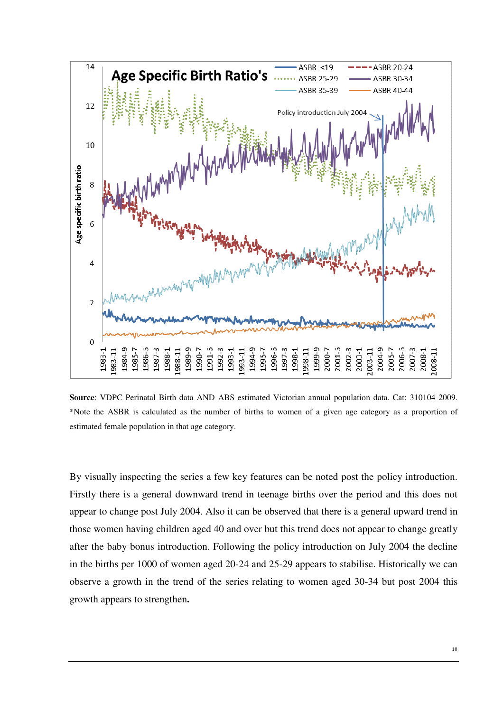

**Source**: VDPC Perinatal Birth data AND ABS estimated Victorian annual population data. Cat: 310104 2009. \*Note the ASBR is calculated as the number of births to women of a given age category as a proportion of estimated female population in that age category.

By visually inspecting the series a few key features can be noted post the policy introduction. Firstly there is a general downward trend in teenage births over the period and this does not appear to change post July 2004. Also it can be observed that there is a general upward trend in those women having children aged 40 and over but this trend does not appear to change greatly after the baby bonus introduction. Following the policy introduction on July 2004 the decline in the births per 1000 of women aged 20-24 and 25-29 appears to stabilise. Historically we can observe a growth in the trend of the series relating to women aged 30-34 but post 2004 this growth appears to strengthen**.**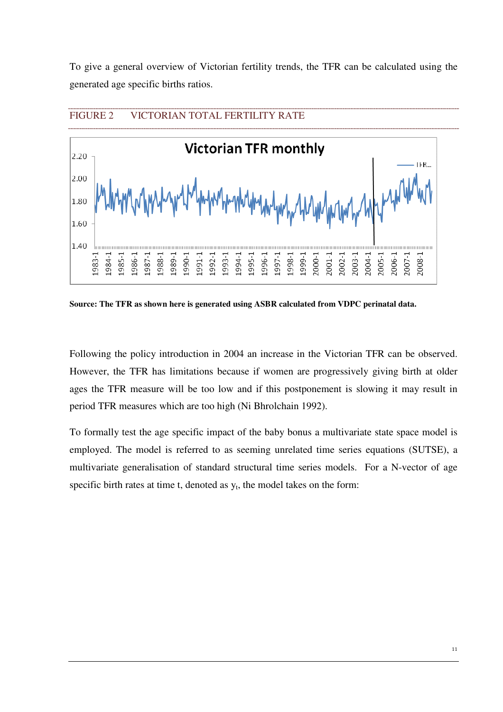To give a general overview of Victorian fertility trends, the TFR can be calculated using the generated age specific births ratios.



**Source: The TFR as shown here is generated using ASBR calculated from VDPC perinatal data.** 

Following the policy introduction in 2004 an increase in the Victorian TFR can be observed. However, the TFR has limitations because if women are progressively giving birth at older ages the TFR measure will be too low and if this postponement is slowing it may result in period TFR measures which are too high (Ni Bhrolchain 1992).

To formally test the age specific impact of the baby bonus a multivariate state space model is employed. The model is referred to as seeming unrelated time series equations (SUTSE), a multivariate generalisation of standard structural time series models. For a N-vector of age specific birth rates at time t, denoted as  $y_t$ , the model takes on the form: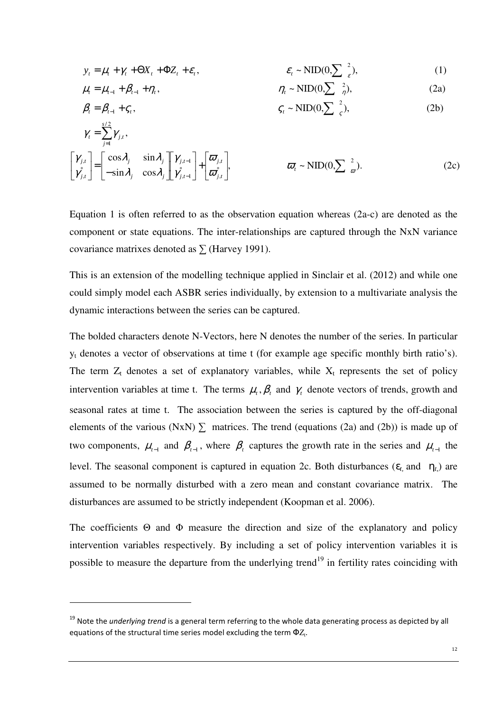$$
y_t = \mu_t + \gamma_t + \Theta X_t + \Phi Z_t + \varepsilon_t, \qquad \varepsilon_t \sim \text{NID}(0, \sum_{\varepsilon}^2), \tag{1}
$$

$$
\mu_{t} = \mu_{t-1} + \beta_{t-1} + \eta_{t}, \qquad \eta_{t} \sim \text{NID}(0, \sum_{\eta} \frac{2}{\eta}), \qquad (2a)
$$

$$
\beta_t = \beta_{t-1} + \varsigma_t, \qquad \qquad \varsigma_t \sim \text{NID}(0, \sum_{\varsigma} \frac{2}{\varsigma}), \qquad (2b)
$$

$$
\gamma_{t} = \sum_{j=1}^{s/2} \gamma_{j,t},
$$
\n
$$
\begin{bmatrix} \gamma_{j,t} \\ \gamma_{j,t}^{*} \end{bmatrix} = \begin{bmatrix} \cos \lambda_{j} & \sin \lambda_{j} \\ -\sin \lambda_{j} & \cos \lambda_{j} \end{bmatrix} \begin{bmatrix} \gamma_{j,t-1} \\ \gamma_{j,t-1}^{*} \end{bmatrix} + \begin{bmatrix} \overline{\omega}_{j,t} \\ \overline{\omega}_{j,t}^{*} \end{bmatrix}, \qquad \overline{\omega}_{t} \sim \text{NID}(0, \sum \frac{2}{\varpi}). \tag{2c}
$$

Equation 1 is often referred to as the observation equation whereas (2a-c) are denoted as the component or state equations. The inter-relationships are captured through the NxN variance covariance matrixes denoted as  $\Sigma$  (Harvey 1991).

This is an extension of the modelling technique applied in Sinclair et al. (2012) and while one could simply model each ASBR series individually, by extension to a multivariate analysis the dynamic interactions between the series can be captured.

The bolded characters denote N-Vectors, here N denotes the number of the series. In particular yt denotes a vector of observations at time t (for example age specific monthly birth ratio's). The term  $Z_t$  denotes a set of explanatory variables, while  $X_t$  represents the set of policy intervention variables at time t. The terms  $\mu_t$ ,  $\beta_t$  and  $\gamma_t$  denote vectors of trends, growth and seasonal rates at time t. The association between the series is captured by the off-diagonal elements of the various (NxN)  $\Sigma$  matrices. The trend (equations (2a) and (2b)) is made up of two components,  $\mu_{t-1}$  and  $\beta_{t-1}$ , where  $\beta_t$  captures the growth rate in the series and  $\mu_{t-1}$  the level. The seasonal component is captured in equation 2c. Both disturbances ( $\varepsilon_t$  and  $\eta_t$ ) are assumed to be normally disturbed with a zero mean and constant covariance matrix. The disturbances are assumed to be strictly independent (Koopman et al. 2006).

The coefficients  $\Theta$  and  $\Phi$  measure the direction and size of the explanatory and policy intervention variables respectively. By including a set of policy intervention variables it is possible to measure the departure from the underlying trend<sup>19</sup> in fertility rates coinciding with

<sup>19</sup> Note the *underlying trend* is a general term referring to the whole data generating process as depicted by all equations of the structural time series model excluding the term  $\Phi Z_{t}$ .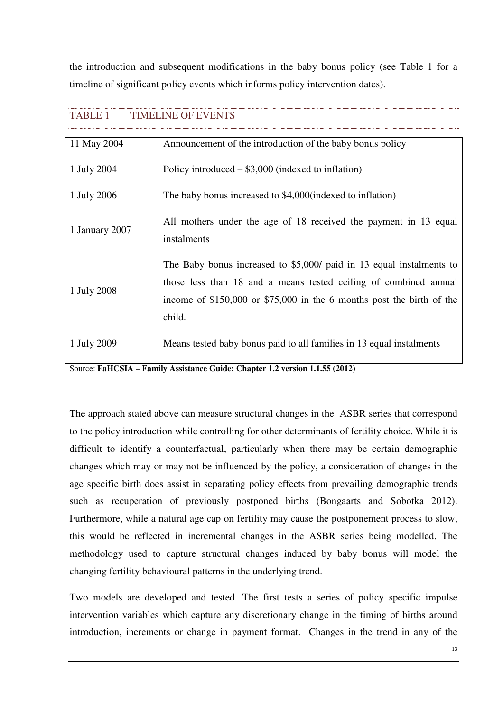the introduction and subsequent modifications in the baby bonus policy (see Table 1 for a timeline of significant policy events which informs policy intervention dates).

## TABLE 1 TIMELINE OF EVENTS

| 11 May 2004    | Announcement of the introduction of the baby bonus policy                       |
|----------------|---------------------------------------------------------------------------------|
| 1 July 2004    | Policy introduced $-$ \$3,000 (indexed to inflation)                            |
| 1 July 2006    | The baby bonus increased to \$4,000(indexed to inflation)                       |
| 1 January 2007 | All mothers under the age of 18 received the payment in 13 equal<br>instalments |
| 1 July 2008    | The Baby bonus increased to \$5,000/ paid in 13 equal instalments to            |
|                | those less than 18 and a means tested ceiling of combined annual                |
|                | income of $$150,000$ or $$75,000$ in the 6 months post the birth of the         |
|                | child.                                                                          |
| 1 July 2009    | Means tested baby bonus paid to all families in 13 equal instalments            |

Source: **FaHCSIA – Family Assistance Guide: Chapter 1.2 version 1.1.55 (2012)** 

The approach stated above can measure structural changes in the ASBR series that correspond to the policy introduction while controlling for other determinants of fertility choice. While it is difficult to identify a counterfactual, particularly when there may be certain demographic changes which may or may not be influenced by the policy, a consideration of changes in the age specific birth does assist in separating policy effects from prevailing demographic trends such as recuperation of previously postponed births (Bongaarts and Sobotka 2012). Furthermore, while a natural age cap on fertility may cause the postponement process to slow, this would be reflected in incremental changes in the ASBR series being modelled. The methodology used to capture structural changes induced by baby bonus will model the changing fertility behavioural patterns in the underlying trend.

Two models are developed and tested. The first tests a series of policy specific impulse intervention variables which capture any discretionary change in the timing of births around introduction, increments or change in payment format. Changes in the trend in any of the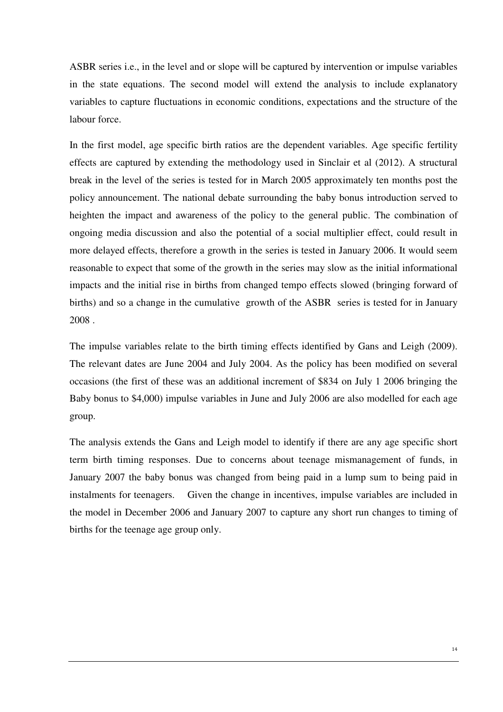ASBR series i.e., in the level and or slope will be captured by intervention or impulse variables in the state equations. The second model will extend the analysis to include explanatory variables to capture fluctuations in economic conditions, expectations and the structure of the labour force.

In the first model, age specific birth ratios are the dependent variables. Age specific fertility effects are captured by extending the methodology used in Sinclair et al (2012). A structural break in the level of the series is tested for in March 2005 approximately ten months post the policy announcement. The national debate surrounding the baby bonus introduction served to heighten the impact and awareness of the policy to the general public. The combination of ongoing media discussion and also the potential of a social multiplier effect, could result in more delayed effects, therefore a growth in the series is tested in January 2006. It would seem reasonable to expect that some of the growth in the series may slow as the initial informational impacts and the initial rise in births from changed tempo effects slowed (bringing forward of births) and so a change in the cumulative growth of the ASBR series is tested for in January 2008 .

The impulse variables relate to the birth timing effects identified by Gans and Leigh (2009). The relevant dates are June 2004 and July 2004. As the policy has been modified on several occasions (the first of these was an additional increment of \$834 on July 1 2006 bringing the Baby bonus to \$4,000) impulse variables in June and July 2006 are also modelled for each age group.

The analysis extends the Gans and Leigh model to identify if there are any age specific short term birth timing responses. Due to concerns about teenage mismanagement of funds, in January 2007 the baby bonus was changed from being paid in a lump sum to being paid in instalments for teenagers. Given the change in incentives, impulse variables are included in the model in December 2006 and January 2007 to capture any short run changes to timing of births for the teenage age group only.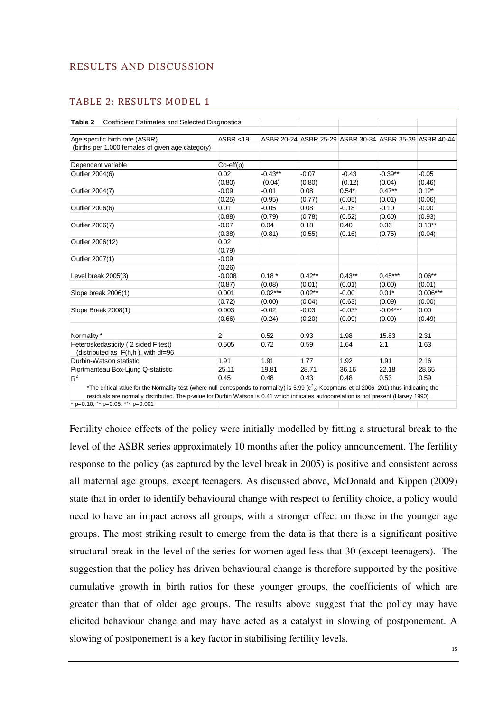## RESULTS AND DISCUSSION

### TABLE 2: RESULTS MODEL 1

| <b>Coefficient Estimates and Selected Diagnostics</b><br>ASBR < 19 |                    | ASBR 20-24 ASBR 25-29 ASBR 30-34 ASBR 35-39 ASBR 40-44 |                                |                                                                                                                  |                  |
|--------------------------------------------------------------------|--------------------|--------------------------------------------------------|--------------------------------|------------------------------------------------------------------------------------------------------------------|------------------|
|                                                                    |                    |                                                        |                                |                                                                                                                  |                  |
|                                                                    |                    |                                                        |                                |                                                                                                                  |                  |
|                                                                    |                    |                                                        |                                |                                                                                                                  |                  |
|                                                                    |                    |                                                        |                                |                                                                                                                  |                  |
|                                                                    |                    |                                                        |                                |                                                                                                                  |                  |
| 0.02                                                               | $-0.43**$          | $-0.07$                                                | $-0.43$                        | $-0.39**$                                                                                                        | $-0.05$          |
| (0.80)                                                             | (0.04)             | (0.80)                                                 | (0.12)                         | (0.04)                                                                                                           | (0.46)           |
| $-0.09$                                                            | $-0.01$            | 0.08                                                   |                                | $0.47**$                                                                                                         | $0.12*$          |
| (0.25)                                                             | (0.95)             | (0.77)                                                 | (0.05)                         | (0.01)                                                                                                           | (0.06)           |
| 0.01                                                               | $-0.05$            | 0.08                                                   |                                | $-0.10$                                                                                                          | $-0.00$          |
| (0.88)                                                             | (0.79)             | (0.78)                                                 | (0.52)                         | (0.60)                                                                                                           | (0.93)           |
| $-0.07$                                                            | 0.04               | 0.18                                                   |                                | 0.06                                                                                                             | $0.13**$         |
| (0.38)                                                             | (0.81)             | (0.55)                                                 | (0.16)                         | (0.75)                                                                                                           | (0.04)           |
| 0.02                                                               |                    |                                                        |                                |                                                                                                                  |                  |
| (0.79)                                                             |                    |                                                        |                                |                                                                                                                  |                  |
| $-0.09$                                                            |                    |                                                        |                                |                                                                                                                  |                  |
| (0.26)                                                             |                    |                                                        |                                |                                                                                                                  |                  |
| $-0.008$                                                           | $0.18*$            | $0.42**$                                               |                                | $0.45***$                                                                                                        | $0.06**$         |
| (0.87)                                                             | (0.08)             | (0.01)                                                 |                                | (0.00)                                                                                                           | (0.01)           |
| 0.001                                                              | $0.02***$          | $0.02**$                                               |                                | $0.01*$                                                                                                          | $0.006***$       |
| (0.72)                                                             | (0.00)             | (0.04)                                                 | (0.63)                         | (0.09)                                                                                                           | (0.00)           |
| 0.003                                                              | $-0.02$            | $-0.03$                                                |                                | $-0.04***$                                                                                                       | 0.00             |
| (0.66)                                                             | (0.24)             | (0.20)                                                 | (0.09)                         | (0.00)                                                                                                           | (0.49)           |
|                                                                    |                    |                                                        |                                |                                                                                                                  |                  |
| $\overline{2}$                                                     | 0.52               | 0.93                                                   |                                | 15.83                                                                                                            | 2.31             |
| 0.505                                                              | 0.72               | 0.59                                                   |                                | 2.1                                                                                                              | 1.63             |
|                                                                    |                    |                                                        |                                |                                                                                                                  |                  |
| 1.91                                                               | 1.91               | 1.77                                                   |                                | 1.91                                                                                                             | 2.16             |
| 25.11                                                              | 19.81              |                                                        |                                | 22.18                                                                                                            | 28.65            |
| 0.45                                                               | 0.48               | 0.43                                                   |                                | 0.53                                                                                                             | 0.59             |
|                                                                    | $Co\text{-eff}(p)$ |                                                        | 28.71<br>$-14.3 = 5.00 (2.17)$ | $0.54*$<br>$-0.18$<br>0.40<br>$0.43**$<br>(0.01)<br>$-0.00$<br>$-0.03*$<br>1.98<br>1.64<br>1.92<br>36.16<br>0.48 | $-1.00000000111$ |

\*The critical value for the Normality test (where null corresponds to normality) is 5.99 ( $c^2$ <sub>2</sub>; Koopmans et al 2006, 201) thus indicating the residuals are normally distributed. The p-value for Durbin Watson is 0.41 which indicates autocorrelation is not present (Harvey 1990).

\* p=0.10; \*\* p=0.05; \*\*\* p=0.001

Fertility choice effects of the policy were initially modelled by fitting a structural break to the level of the ASBR series approximately 10 months after the policy announcement. The fertility response to the policy (as captured by the level break in 2005) is positive and consistent across all maternal age groups, except teenagers. As discussed above, McDonald and Kippen (2009) state that in order to identify behavioural change with respect to fertility choice, a policy would need to have an impact across all groups, with a stronger effect on those in the younger age groups. The most striking result to emerge from the data is that there is a significant positive structural break in the level of the series for women aged less that 30 (except teenagers). The suggestion that the policy has driven behavioural change is therefore supported by the positive cumulative growth in birth ratios for these younger groups, the coefficients of which are greater than that of older age groups. The results above suggest that the policy may have elicited behaviour change and may have acted as a catalyst in slowing of postponement. A slowing of postponement is a key factor in stabilising fertility levels.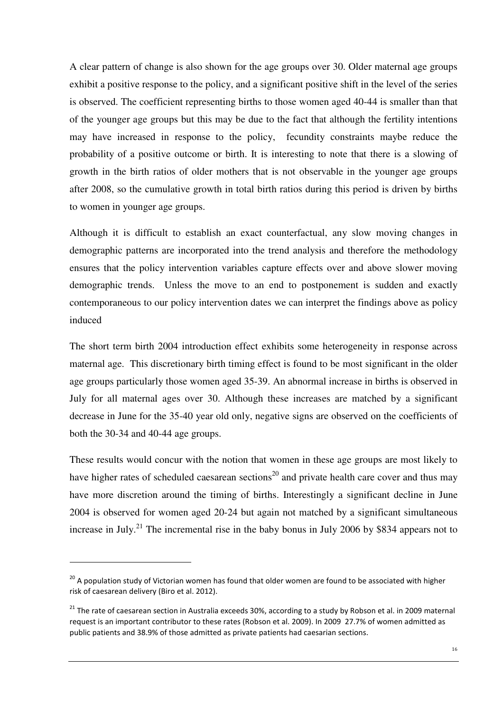A clear pattern of change is also shown for the age groups over 30. Older maternal age groups exhibit a positive response to the policy, and a significant positive shift in the level of the series is observed. The coefficient representing births to those women aged 40-44 is smaller than that of the younger age groups but this may be due to the fact that although the fertility intentions may have increased in response to the policy, fecundity constraints maybe reduce the probability of a positive outcome or birth. It is interesting to note that there is a slowing of growth in the birth ratios of older mothers that is not observable in the younger age groups after 2008, so the cumulative growth in total birth ratios during this period is driven by births to women in younger age groups.

Although it is difficult to establish an exact counterfactual, any slow moving changes in demographic patterns are incorporated into the trend analysis and therefore the methodology ensures that the policy intervention variables capture effects over and above slower moving demographic trends. Unless the move to an end to postponement is sudden and exactly contemporaneous to our policy intervention dates we can interpret the findings above as policy induced

The short term birth 2004 introduction effect exhibits some heterogeneity in response across maternal age. This discretionary birth timing effect is found to be most significant in the older age groups particularly those women aged 35-39. An abnormal increase in births is observed in July for all maternal ages over 30. Although these increases are matched by a significant decrease in June for the 35-40 year old only, negative signs are observed on the coefficients of both the 30-34 and 40-44 age groups.

These results would concur with the notion that women in these age groups are most likely to have higher rates of scheduled caesarean sections<sup>20</sup> and private health care cover and thus may have more discretion around the timing of births. Interestingly a significant decline in June 2004 is observed for women aged 20-24 but again not matched by a significant simultaneous increase in July.<sup>21</sup> The incremental rise in the baby bonus in July 2006 by \$834 appears not to

<sup>&</sup>lt;sup>20</sup> A population study of Victorian women has found that older women are found to be associated with higher risk of caesarean delivery (Biro et al. 2012).

 $21$  The rate of caesarean section in Australia exceeds 30%, according to a study by Robson et al. in 2009 maternal request is an important contributor to these rates (Robson et al. 2009). In 2009 27.7% of women admitted as public patients and 38.9% of those admitted as private patients had caesarian sections.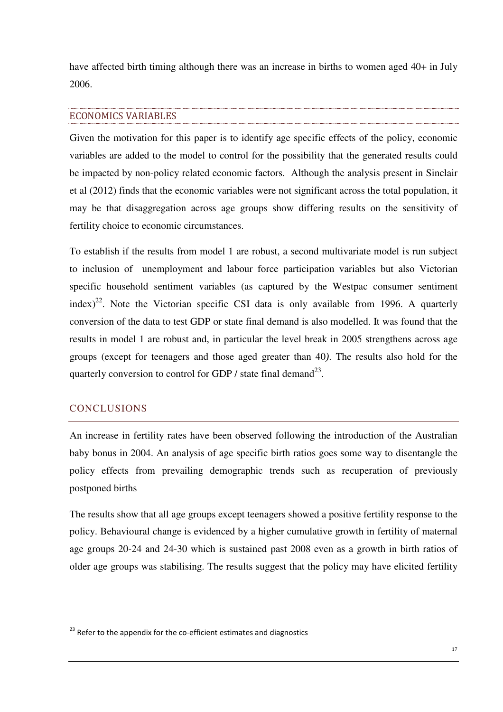have affected birth timing although there was an increase in births to women aged 40+ in July 2006.

#### ECONOMICS VARIABLES

Given the motivation for this paper is to identify age specific effects of the policy, economic variables are added to the model to control for the possibility that the generated results could be impacted by non-policy related economic factors. Although the analysis present in Sinclair et al (2012) finds that the economic variables were not significant across the total population, it may be that disaggregation across age groups show differing results on the sensitivity of fertility choice to economic circumstances.

To establish if the results from model 1 are robust, a second multivariate model is run subject to inclusion of unemployment and labour force participation variables but also Victorian specific household sentiment variables (as captured by the Westpac consumer sentiment index)<sup>22</sup>. Note the Victorian specific CSI data is only available from 1996. A quarterly conversion of the data to test GDP or state final demand is also modelled. It was found that the results in model 1 are robust and, in particular the level break in 2005 strengthens across age groups (except for teenagers and those aged greater than 40*)*. The results also hold for the quarterly conversion to control for GDP / state final demand<sup>23</sup>.

#### **CONCLUSIONS**

 $\overline{a}$ 

An increase in fertility rates have been observed following the introduction of the Australian baby bonus in 2004. An analysis of age specific birth ratios goes some way to disentangle the policy effects from prevailing demographic trends such as recuperation of previously postponed births

The results show that all age groups except teenagers showed a positive fertility response to the policy. Behavioural change is evidenced by a higher cumulative growth in fertility of maternal age groups 20-24 and 24-30 which is sustained past 2008 even as a growth in birth ratios of older age groups was stabilising. The results suggest that the policy may have elicited fertility

 $23$  Refer to the appendix for the co-efficient estimates and diagnostics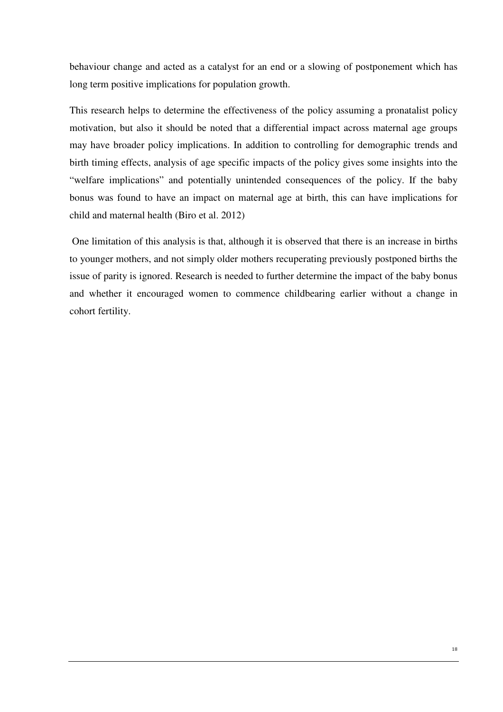behaviour change and acted as a catalyst for an end or a slowing of postponement which has long term positive implications for population growth.

This research helps to determine the effectiveness of the policy assuming a pronatalist policy motivation, but also it should be noted that a differential impact across maternal age groups may have broader policy implications. In addition to controlling for demographic trends and birth timing effects, analysis of age specific impacts of the policy gives some insights into the "welfare implications" and potentially unintended consequences of the policy. If the baby bonus was found to have an impact on maternal age at birth, this can have implications for child and maternal health (Biro et al. 2012)

 One limitation of this analysis is that, although it is observed that there is an increase in births to younger mothers, and not simply older mothers recuperating previously postponed births the issue of parity is ignored. Research is needed to further determine the impact of the baby bonus and whether it encouraged women to commence childbearing earlier without a change in cohort fertility.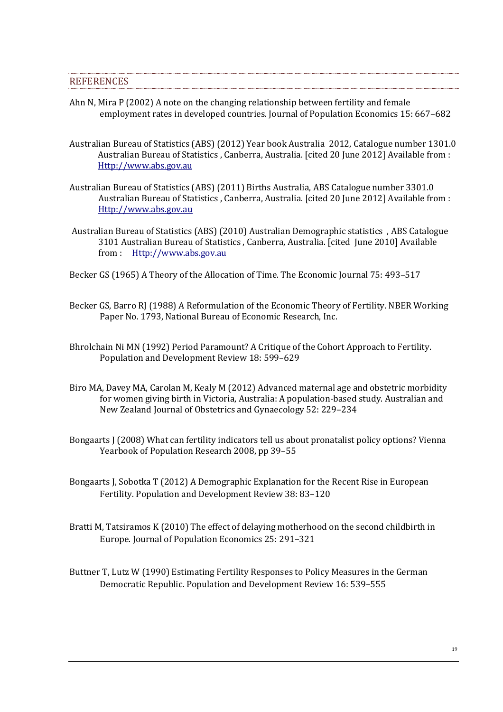#### **REFERENCES**

- Ahn N, Mira P (2002) A note on the changing relationship between fertility and female employment rates in developed countries. Journal of Population Economics 15: 667–682
- Australian Bureau of Statistics (ABS) (2012) Year book Australia 2012, Catalogue number 1301.0 Australian Bureau of Statistics , Canberra, Australia. [cited 20 June 2012] Available from : Http://www.abs.gov.au
- Australian Bureau of Statistics (ABS) (2011) Births Australia, ABS Catalogue number 3301.0 Australian Bureau of Statistics , Canberra, Australia. [cited 20 June 2012] Available from : Http://www.abs.gov.au
- Australian Bureau of Statistics (ABS) (2010) Australian Demographic statistics , ABS Catalogue 3101 Australian Bureau of Statistics , Canberra, Australia. [cited June 2010] Available from : Http://www.abs.gov.au
- Becker GS (1965) A Theory of the Allocation of Time. The Economic Journal 75: 493–517
- Becker GS, Barro RJ (1988) A Reformulation of the Economic Theory of Fertility. NBER Working Paper No. 1793, National Bureau of Economic Research, Inc.
- Bhrolchain Ni MN (1992) Period Paramount? A Critique of the Cohort Approach to Fertility. Population and Development Review 18: 599–629
- Biro MA, Davey MA, Carolan M, Kealy M (2012) Advanced maternal age and obstetric morbidity for women giving birth in Victoria, Australia: A population-based study. Australian and New Zealand Journal of Obstetrics and Gynaecology 52: 229–234
- Bongaarts J (2008) What can fertility indicators tell us about pronatalist policy options? Vienna Yearbook of Population Research 2008, pp 39–55
- Bongaarts J, Sobotka T (2012) A Demographic Explanation for the Recent Rise in European Fertility. Population and Development Review 38: 83–120
- Bratti M, Tatsiramos K (2010) The effect of delaying motherhood on the second childbirth in Europe. Journal of Population Economics 25: 291–321
- Buttner T, Lutz W (1990) Estimating Fertility Responses to Policy Measures in the German Democratic Republic. Population and Development Review 16: 539–555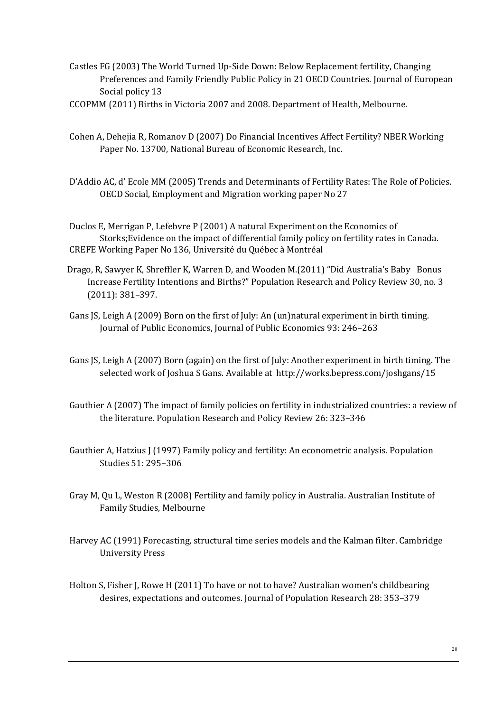Castles FG (2003) The World Turned Up-Side Down: Below Replacement fertility, Changing Preferences and Family Friendly Public Policy in 21 OECD Countries. Journal of European Social policy 13

- Cohen A, Dehejia R, Romanov D (2007) Do Financial Incentives Affect Fertility? NBER Working Paper No. 13700, National Bureau of Economic Research, Inc.
- D'Addio AC, d' Ecole MM (2005) Trends and Determinants of Fertility Rates: The Role of Policies. OECD Social, Employment and Migration working paper No 27

Duclos E, Merrigan P, Lefebvre P (2001) A natural Experiment on the Economics of Storks;Evidence on the impact of differential family policy on fertility rates in Canada. CREFE Working Paper No 136, Université du Québec à Montréal

- Drago, R, Sawyer K, Shreffler K, Warren D, and Wooden M.(2011) "Did Australia's Baby Bonus Increase Fertility Intentions and Births?" Population Research and Policy Review 30, no. 3 (2011): 381–397.
- Gans JS, Leigh A (2009) Born on the first of July: An (un)natural experiment in birth timing. Journal of Public Economics, Journal of Public Economics 93: 246–263
- Gans JS, Leigh A (2007) Born (again) on the first of July: Another experiment in birth timing. The selected work of Joshua S Gans. Available at http://works.bepress.com/joshgans/15
- Gauthier A (2007) The impact of family policies on fertility in industrialized countries: a review of the literature. Population Research and Policy Review 26: 323–346
- Gauthier A, Hatzius J (1997) Family policy and fertility: An econometric analysis. Population Studies 51: 295–306
- Gray M, Qu L, Weston R (2008) Fertility and family policy in Australia. Australian Institute of Family Studies, Melbourne
- Harvey AC (1991) Forecasting, structural time series models and the Kalman filter. Cambridge University Press
- Holton S, Fisher J, Rowe H (2011) To have or not to have? Australian women's childbearing desires, expectations and outcomes. Journal of Population Research 28: 353–379

CCOPMM (2011) Births in Victoria 2007 and 2008. Department of Health, Melbourne.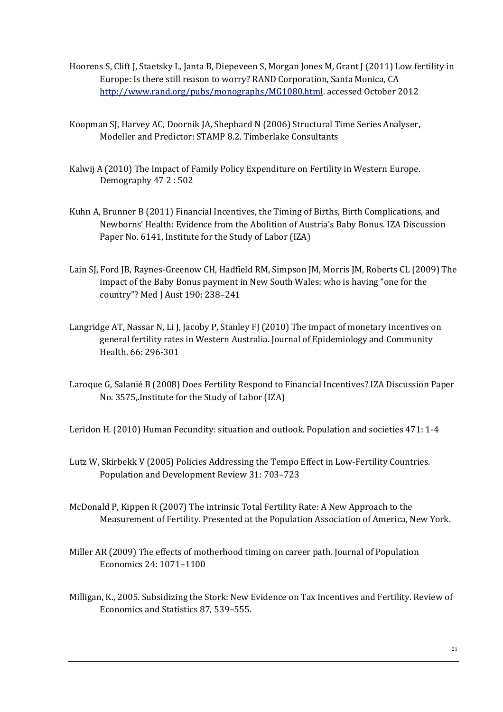- Hoorens S, Clift J, Staetsky L, Janta B, Diepeveen S, Morgan Jones M, Grant J (2011) Low fertility in Europe: Is there still reason to worry? RAND Corporation, Santa Monica, CA http://www.rand.org/pubs/monographs/MG1080.html. accessed October 2012
- Koopman SJ, Harvey AC, Doornik JA, Shephard N (2006) Structural Time Series Analyser, Modeller and Predictor: STAMP 8.2. Timberlake Consultants
- Kalwij A (2010) The Impact of Family Policy Expenditure on Fertility in Western Europe. Demography 47 2 : 502
- Kuhn A, Brunner B (2011) Financial Incentives, the Timing of Births, Birth Complications, and Newborns' Health: Evidence from the Abolition of Austria's Baby Bonus. IZA Discussion Paper No. 6141, Institute for the Study of Labor (IZA)
- Lain SJ, Ford JB, Raynes-Greenow CH, Hadfield RM, Simpson JM, Morris JM, Roberts CL (2009) The impact of the Baby Bonus payment in New South Wales: who is having "one for the country"? Med J Aust 190: 238–241
- Langridge AT, Nassar N, Li J, Jacoby P, Stanley FJ (2010) The impact of monetary incentives on general fertility rates in Western Australia. Journal of Epidemiology and Community Health. 66: 296-301
- Laroque G, Salanié B (2008) Does Fertility Respond to Financial Incentives? IZA Discussion Paper No. 3575,.Institute for the Study of Labor (IZA)

Leridon H. (2010) Human Fecundity: situation and outlook. Population and societies 471: 1-4

- Lutz W, Skirbekk V (2005) Policies Addressing the Tempo Effect in Low-Fertility Countries. Population and Development Review 31: 703–723
- McDonald P, Kippen R (2007) The intrinsic Total Fertility Rate: A New Approach to the Measurement of Fertility. Presented at the Population Association of America, New York.
- Miller AR (2009) The effects of motherhood timing on career path. Journal of Population Economics 24: 1071–1100
- Milligan, K., 2005. Subsidizing the Stork: New Evidence on Tax Incentives and Fertility. Review of Economics and Statistics 87, 539–555.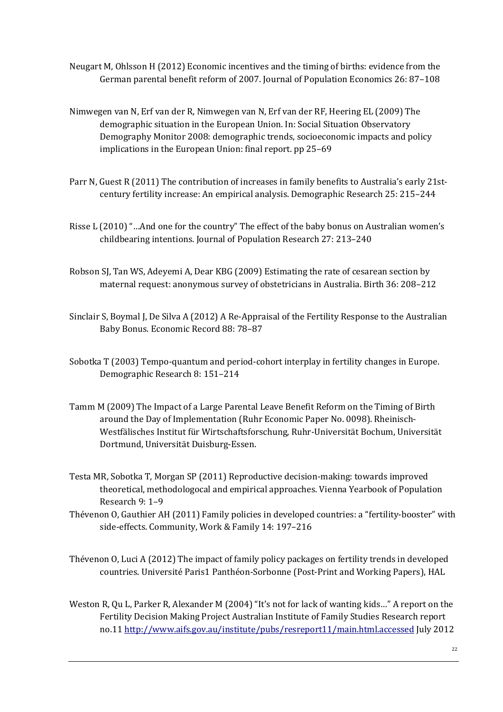- Neugart M, Ohlsson H (2012) Economic incentives and the timing of births: evidence from the German parental benefit reform of 2007. Journal of Population Economics 26: 87–108
- Nimwegen van N, Erf van der R, Nimwegen van N, Erf van der RF, Heering EL (2009) The demographic situation in the European Union. In: Social Situation Observatory Demography Monitor 2008: demographic trends, socioeconomic impacts and policy implications in the European Union: final report. pp 25–69
- Parr N, Guest R (2011) The contribution of increases in family benefits to Australia's early 21stcentury fertility increase: An empirical analysis. Demographic Research 25: 215–244
- Risse L (2010) "…And one for the country" The effect of the baby bonus on Australian women's childbearing intentions. Journal of Population Research 27: 213–240
- Robson SJ, Tan WS, Adeyemi A, Dear KBG (2009) Estimating the rate of cesarean section by maternal request: anonymous survey of obstetricians in Australia. Birth 36: 208–212
- Sinclair S, Boymal J, De Silva A (2012) A Re-Appraisal of the Fertility Response to the Australian Baby Bonus. Economic Record 88: 78–87
- Sobotka T (2003) Tempo-quantum and period-cohort interplay in fertility changes in Europe. Demographic Research 8: 151–214
- Tamm M (2009) The Impact of a Large Parental Leave Benefit Reform on the Timing of Birth around the Day of Implementation (Ruhr Economic Paper No. 0098). Rheinisch-Westfälisches Institut für Wirtschaftsforschung, Ruhr-Universität Bochum, Universität Dortmund, Universität Duisburg-Essen.
- Testa MR, Sobotka T, Morgan SP (2011) Reproductive decision-making: towards improved theoretical, methodologocal and empirical approaches. Vienna Yearbook of Population Research 9: 1–9
- Thévenon O, Gauthier AH (2011) Family policies in developed countries: a "fertility-booster" with side-effects. Community, Work & Family 14: 197–216
- Thévenon O, Luci A (2012) The impact of family policy packages on fertility trends in developed countries. Université Paris1 Panthéon-Sorbonne (Post-Print and Working Papers), HAL
- Weston R, Qu L, Parker R, Alexander M (2004) "It's not for lack of wanting kids…" A report on the Fertility Decision Making Project Australian Institute of Family Studies Research report no.11 http://www.aifs.gov.au/institute/pubs/resreport11/main.html.accessed July 2012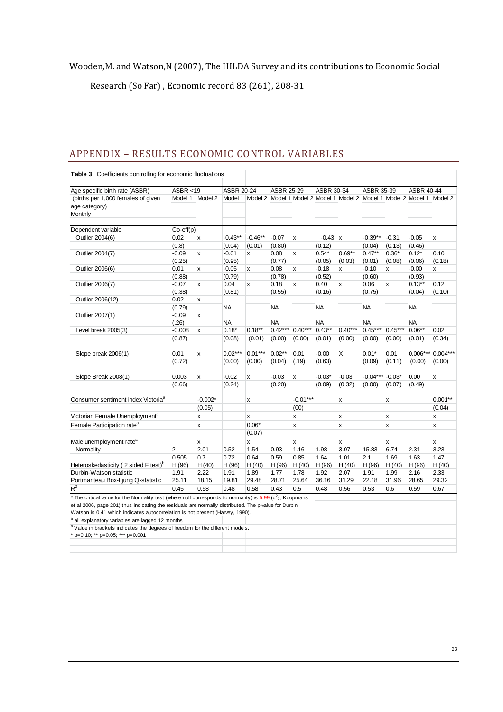## Wooden,M. and Watson,N (2007), The HILDA Survey and its contributions to Economic Social

Research (So Far) , Economic record 83 (261), 208-31

| Age specific birth rate (ASBR)                                                                                                                                                        | ASBR < 19          |              | <b>ASBR 20-24</b> |                                                                                 | <b>ASBR 25-29</b> |                  | ASBR 30-34 |           | ASBR 35-39 |              | <b>ASBR 40-44</b> |              |
|---------------------------------------------------------------------------------------------------------------------------------------------------------------------------------------|--------------------|--------------|-------------------|---------------------------------------------------------------------------------|-------------------|------------------|------------|-----------|------------|--------------|-------------------|--------------|
| (births per 1,000 females of given                                                                                                                                                    | Model 1            | Model 2      |                   | Model 1 Model 2 Model 1 Model 2 Model 1 Model 2 Model 1 Model 2 Model 1 Model 2 |                   |                  |            |           |            |              |                   |              |
| age category)                                                                                                                                                                         |                    |              |                   |                                                                                 |                   |                  |            |           |            |              |                   |              |
| Monthly                                                                                                                                                                               |                    |              |                   |                                                                                 |                   |                  |            |           |            |              |                   |              |
| Dependent variable                                                                                                                                                                    | $Co\text{-eff}(p)$ |              |                   |                                                                                 |                   |                  |            |           |            |              |                   |              |
| Outlier 2004(6)                                                                                                                                                                       | 0.02               | x            | $-0.43**$         | $-0.46**$                                                                       | $-0.07$           | $\mathsf{x}$     | $-0.43$ x  |           | $-0.39**$  | $-0.31$      | $-0.05$           | $\mathbf{x}$ |
|                                                                                                                                                                                       | (0.8)              |              | (0.04)            | (0.01)                                                                          | (0.80)            |                  | (0.12)     |           | (0.04)     | (0.13)       | (0.46)            |              |
| Outlier 2004(7)                                                                                                                                                                       | $-0.09$            | $\mathsf{x}$ | $-0.01$           | x                                                                               | 0.08              | x                | $0.54*$    | $0.69**$  | $0.47***$  | $0.36*$      | $0.12*$           | 0.10         |
|                                                                                                                                                                                       | (0.25)             |              | (0.95)            |                                                                                 | (0.77)            |                  | (0.05)     | (0.03)    | (0.01)     | (0.08)       | (0.06)            | (0.18)       |
| Outlier 2006(6)                                                                                                                                                                       | 0.01               | X            | $-0.05$           | x                                                                               | 0.08              | x                | $-0.18$    | x         | $-0.10$    | x            | $-0.00$           | x            |
|                                                                                                                                                                                       | (0.88)             |              | (0.79)            |                                                                                 | (0.78)            |                  | (0.52)     |           | (0.60)     |              | (0.93)            |              |
| Outlier 2006(7)                                                                                                                                                                       | $-0.07$            | X            | 0.04              | x                                                                               | 0.18              | $\boldsymbol{x}$ | 0.40       | x         | 0.06       | x            | $0.13***$         | 0.12         |
|                                                                                                                                                                                       | (0.38)             |              | (0.81)            |                                                                                 | (0.55)            |                  | (0.16)     |           | (0.75)     |              | (0.04)            | (0.10)       |
| Outlier 2006(12)                                                                                                                                                                      | 0.02               | X            |                   |                                                                                 |                   |                  |            |           |            |              |                   |              |
|                                                                                                                                                                                       | (0.79)             |              | <b>NA</b>         |                                                                                 | <b>NA</b>         |                  | <b>NA</b>  |           | <b>NA</b>  |              | <b>NA</b>         |              |
| Outlier 2007(1)                                                                                                                                                                       | $-0.09$            | $\mathsf{x}$ |                   |                                                                                 |                   |                  |            |           |            |              |                   |              |
|                                                                                                                                                                                       | (.26)              |              | <b>NA</b>         |                                                                                 | <b>NA</b>         |                  | NA         |           | <b>NA</b>  |              | <b>NA</b>         |              |
| Level break 2005(3)                                                                                                                                                                   | $-0.008$           | X            | $0.18*$           | $0.18***$                                                                       | $0.42***$         | $0.40***$        | $0.43**$   | $0.40***$ | $0.45***$  | $0.45***$    | $0.06**$          | 0.02         |
|                                                                                                                                                                                       | (0.87)             |              | (0.08)            | (0.01)                                                                          | (0.00)            | (0.00)           | (0.01)     | (0.00)    | (0.00)     | (0.00)       | (0.01)            | (0.34)       |
|                                                                                                                                                                                       |                    |              |                   |                                                                                 |                   |                  |            |           |            |              |                   |              |
| Slope break 2006(1)                                                                                                                                                                   | 0.01               | x            | $0.02***$         | $0.01***$                                                                       | $0.02**$          | 0.01             | $-0.00$    | X         | $0.01*$    | 0.01         | $0.006***$        | $0.004***$   |
|                                                                                                                                                                                       | (0.72)             |              | (0.00)            | (0.00)                                                                          | (0.04)            | (.19)            | (0.63)     |           | (0.09)     | (0.11)       | (0.00)            | (0.00)       |
|                                                                                                                                                                                       |                    |              |                   |                                                                                 |                   |                  |            |           |            |              |                   |              |
| Slope Break 2008(1)                                                                                                                                                                   | 0.003              | x            | $-0.02$           | x                                                                               | $-0.03$           | x                | $-0.03*$   | $-0.03$   | $-0.04***$ | $-0.03*$     | 0.00              | x            |
|                                                                                                                                                                                       | (0.66)             |              | (0.24)            |                                                                                 | (0.20)            |                  | (0.09)     | (0.32)    | (0.00)     | (0.07)       | (0.49)            |              |
|                                                                                                                                                                                       |                    |              |                   |                                                                                 |                   |                  |            |           |            |              |                   |              |
| Consumer sentiment index Victoria <sup>a</sup>                                                                                                                                        |                    | $-0.002*$    |                   | x                                                                               |                   | $-0.01***$       |            | x         |            | x            |                   | $0.001**$    |
|                                                                                                                                                                                       |                    | (0.05)       |                   |                                                                                 |                   | (00)             |            |           |            |              |                   | (0.04)       |
| Victorian Female Unemployment <sup>a</sup>                                                                                                                                            |                    | x            |                   | x                                                                               |                   | x                |            | x         |            | x            |                   | X            |
| Female Participation rate <sup>a</sup>                                                                                                                                                |                    | x            |                   | $0.06*$                                                                         |                   | x                |            | x         |            | $\mathbf{x}$ |                   | x            |
|                                                                                                                                                                                       |                    |              |                   | (0.07)                                                                          |                   |                  |            |           |            |              |                   |              |
| Male unemployment rate <sup>a</sup>                                                                                                                                                   |                    |              |                   |                                                                                 |                   |                  |            |           |            |              |                   |              |
| Normality                                                                                                                                                                             | $\overline{2}$     | x<br>2.01    | 0.52              | x<br>1.54                                                                       | 0.93              | x<br>1.16        | 1.98       | x<br>3.07 | 15.83      | x<br>6.74    | 2.31              | x<br>3.23    |
|                                                                                                                                                                                       | 0.505              | 0.7          | 0.72              | 0.64                                                                            | 0.59              | 0.85             | 1.64       | 1.01      | 2.1        | 1.69         | 1.63              | 1.47         |
| Heteroskedasticity (2 sided F test) <sup>b</sup>                                                                                                                                      | H(96)              | H(40)        | H (96)            | H(40)                                                                           | H (96)            | H(40)            | H(96)      | H(40)     | H(96)      | H(40)        | H(96)             | H(40)        |
| Durbin-Watson statistic                                                                                                                                                               | 1.91               | 2.22         | 1.91              | 1.89                                                                            | 1.77              | 1.78             | 1.92       | 2.07      | 1.91       | 1.99         | 2.16              | 2.33         |
| Portmanteau Box-Ljung Q-statistic                                                                                                                                                     | 25.11              | 18.15        | 19.81             | 29.48                                                                           | 28.71             | 25.64            | 36.16      | 31.29     | 22.18      | 31.96        | 28.65             | 29.32        |
| $R^2$                                                                                                                                                                                 |                    |              |                   |                                                                                 |                   |                  |            |           |            |              |                   |              |
|                                                                                                                                                                                       | 0.45               | 0.58         | 0.48              | 0.58                                                                            | 0.43              | 0.5              | 0.48       | 0.56      | 0.53       | 0.6          | 0.59              | 0.67         |
| * The critical value for the Normality test (where null corresponds to normality) is $5.99$ ( $c^2$ <sub>2</sub> ; Koopmans                                                           |                    |              |                   |                                                                                 |                   |                  |            |           |            |              |                   |              |
| et al 2006, page 201) thus indicating the residuals are normally distributed. The p-value for Durbin<br>Watson is 0.41 which indicates autocorrelation is not present (Harvey, 1990). |                    |              |                   |                                                                                 |                   |                  |            |           |            |              |                   |              |
| <sup>a</sup> all explanatory variables are lagged 12 months                                                                                                                           |                    |              |                   |                                                                                 |                   |                  |            |           |            |              |                   |              |
| <sup>b</sup> Value in brackets indicates the degrees of freedom for the different models.                                                                                             |                    |              |                   |                                                                                 |                   |                  |            |           |            |              |                   |              |
| * p=0.10; ** p=0.05; *** p=0.001                                                                                                                                                      |                    |              |                   |                                                                                 |                   |                  |            |           |            |              |                   |              |
|                                                                                                                                                                                       |                    |              |                   |                                                                                 |                   |                  |            |           |            |              |                   |              |
|                                                                                                                                                                                       |                    |              |                   |                                                                                 |                   |                  |            |           |            |              |                   |              |

## APPENDIX – RESULTS ECONOMIC CONTROL VARIABLES